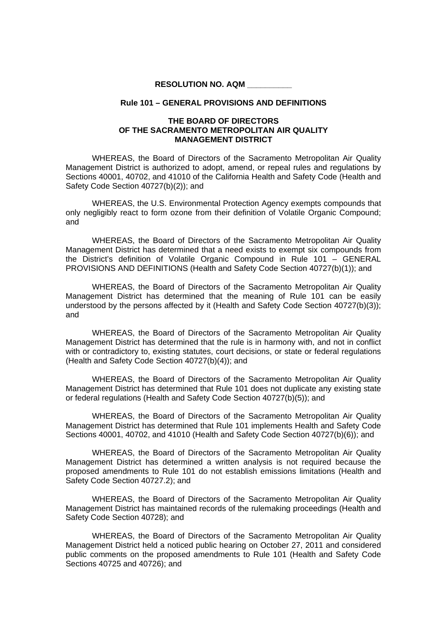## **RESOLUTION NO. AQM \_\_\_\_\_\_\_\_\_\_**

## **Rule 101 – GENERAL PROVISIONS AND DEFINITIONS**

## **THE BOARD OF DIRECTORS OF THE SACRAMENTO METROPOLITAN AIR QUALITY MANAGEMENT DISTRICT**

WHEREAS, the Board of Directors of the Sacramento Metropolitan Air Quality Management District is authorized to adopt, amend, or repeal rules and regulations by Sections 40001, 40702, and 41010 of the California Health and Safety Code (Health and Safety Code Section 40727(b)(2)); and

WHEREAS, the U.S. Environmental Protection Agency exempts compounds that only negligibly react to form ozone from their definition of Volatile Organic Compound; and

WHEREAS, the Board of Directors of the Sacramento Metropolitan Air Quality Management District has determined that a need exists to exempt six compounds from the District's definition of Volatile Organic Compound in Rule 101 – GENERAL PROVISIONS AND DEFINITIONS (Health and Safety Code Section 40727(b)(1)); and

WHEREAS, the Board of Directors of the Sacramento Metropolitan Air Quality Management District has determined that the meaning of Rule 101 can be easily understood by the persons affected by it (Health and Safety Code Section 40727(b)(3)); and

WHEREAS, the Board of Directors of the Sacramento Metropolitan Air Quality Management District has determined that the rule is in harmony with, and not in conflict with or contradictory to, existing statutes, court decisions, or state or federal regulations (Health and Safety Code Section 40727(b)(4)); and

WHEREAS, the Board of Directors of the Sacramento Metropolitan Air Quality Management District has determined that Rule 101 does not duplicate any existing state or federal regulations (Health and Safety Code Section 40727(b)(5)); and

WHEREAS, the Board of Directors of the Sacramento Metropolitan Air Quality Management District has determined that Rule 101 implements Health and Safety Code Sections 40001, 40702, and 41010 (Health and Safety Code Section 40727(b)(6)); and

WHEREAS, the Board of Directors of the Sacramento Metropolitan Air Quality Management District has determined a written analysis is not required because the proposed amendments to Rule 101 do not establish emissions limitations (Health and Safety Code Section 40727.2); and

WHEREAS, the Board of Directors of the Sacramento Metropolitan Air Quality Management District has maintained records of the rulemaking proceedings (Health and Safety Code Section 40728); and

WHEREAS, the Board of Directors of the Sacramento Metropolitan Air Quality Management District held a noticed public hearing on October 27, 2011 and considered public comments on the proposed amendments to Rule 101 (Health and Safety Code Sections 40725 and 40726); and